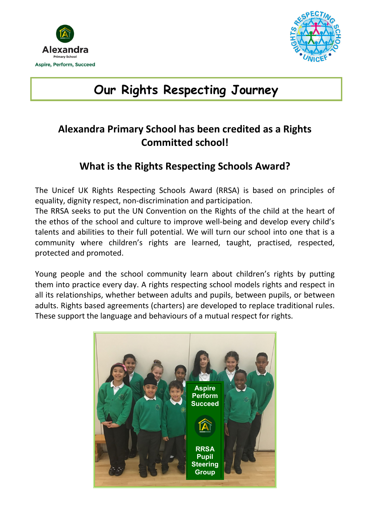



# **Our Rights Respecting Journey**

# **Alexandra Primary School has been credited as a Rights Committed school!**

## **What is the Rights Respecting Schools Award?**

The Unicef UK Rights Respecting Schools Award (RRSA) is based on principles of equality, dignity respect, non-discrimination and participation.

The RRSA seeks to put the UN Convention on the Rights of the child at the heart of the ethos of the school and culture to improve well-being and develop every child's talents and abilities to their full potential. We will turn our school into one that is a community where children's rights are learned, taught, practised, respected, protected and promoted.

Young people and the school community learn about children's rights by putting them into practice every day. A rights respecting school models rights and respect in all its relationships, whether between adults and pupils, between pupils, or between adults. Rights based agreements (charters) are developed to replace traditional rules. These support the language and behaviours of a mutual respect for rights.

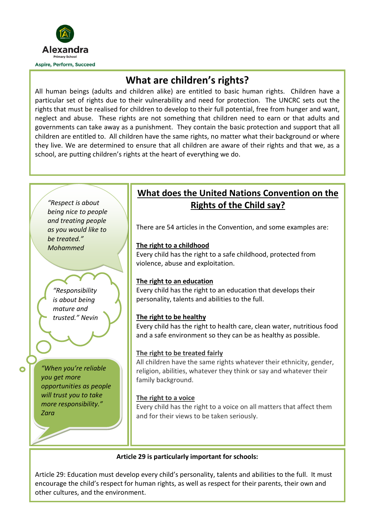

## **What are children's rights?**

All human beings (adults and children alike) are entitled to basic human rights. Children have a particular set of rights due to their vulnerability and need for protection. The UNCRC sets out the rights that must be realised for children to develop to their full potential, free from hunger and want, neglect and abuse. These rights are not something that children need to earn or that adults and governments can take away as a punishment. They contain the basic protection and support that all children are entitled to. All children have the same rights, no matter what their background or where they live. We are determined to ensure that all children are aware of their rights and that we, as a school, are putting children's rights at the heart of everything we do.



 encourage the child's respect for human rights, as well as respect for their parents, their own and Article 29: Education must develop every child's personality, talents and abilities to the full. It must other cultures, and the environment.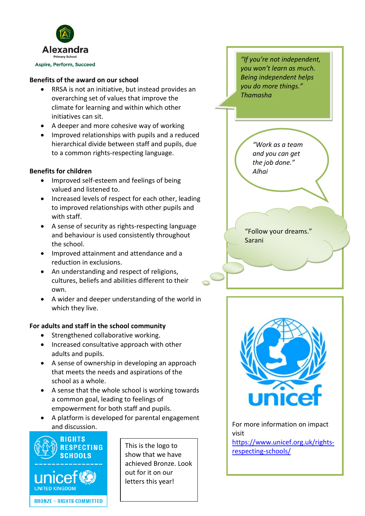

#### **Benefits of the award on our school**

- RRSA is not an initiative, but instead provides an overarching set of values that improve the climate for learning and within which other initiatives can sit.
- A deeper and more cohesive way of working
- Improved relationships with pupils and a reduced hierarchical divide between staff and pupils, due to a common rights-respecting language.

#### **Benefits for children**

- Improved self-esteem and feelings of being valued and listened to.
- Increased levels of respect for each other, leading to improved relationships with other pupils and with staff.
- A sense of security as rights-respecting language and behaviour is used consistently throughout the school.
- Improved attainment and attendance and a reduction in exclusions.
- An understanding and respect of religions, cultures, beliefs and abilities different to their own.
- A wider and deeper understanding of the world in which they live.

#### **For adults and staff in the school community**

- Strengthened collaborative working.
- Increased consultative approach with other adults and pupils.
- A sense of ownership in developing an approach that meets the needs and aspirations of the school as a whole.
- A sense that the whole school is working towards a common goal, leading to feelings of empowerment for both staff and pupils.
- A platform is developed for parental engagement and discussion.



letters this year! This is the logo to show that we have achieved Bronze. Look out for it on our

*"If you're not independent, you won't learn as much. Being independent helps you do more things." Thamasha* 

*"Work as a team and you can get the job done." Alhai* 

"Follow your dreams." Sarani



For more information on impact visit

[https://www.unicef.org.uk/rights](https://www.unicef.org.uk/rights-respecting-schools/)[respecting-schools/](https://www.unicef.org.uk/rights-respecting-schools/)